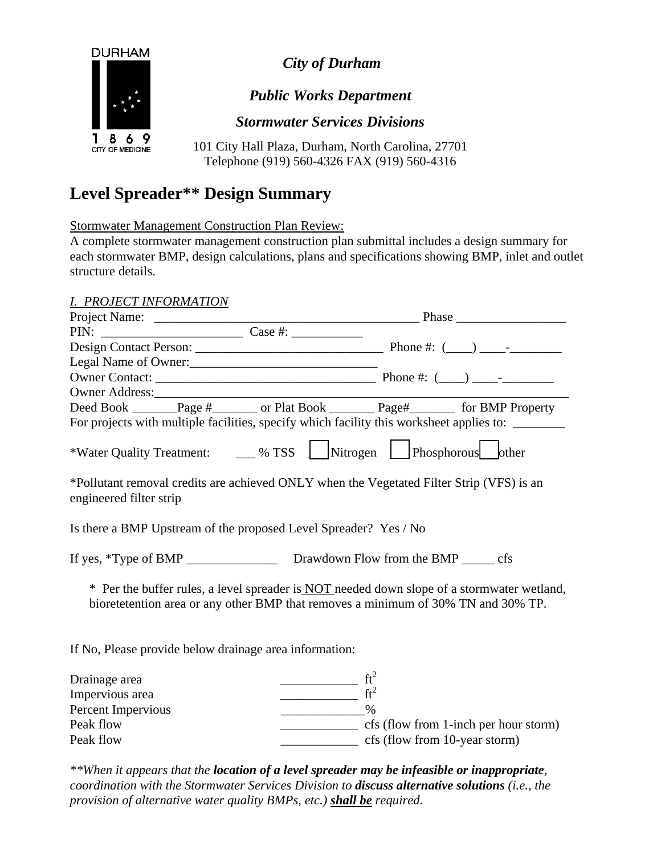

*City of Durham* 

## *Public Works Department*

*Stormwater Services Divisions* 

101 City Hall Plaza, Durham, North Carolina, 27701 Telephone (919) 560-4326 FAX (919) 560-4316

# **Level Spreader\*\* Design Summary**

Stormwater Management Construction Plan Review:

A complete stormwater management construction plan submittal includes a design summary for each stormwater BMP, design calculations, plans and specifications showing BMP, inlet and outlet structure details.

#### *I. PROJECT INFORMATION*

| <u>. TROJECI INI ONIHITION</u>                                                                                                                                                         |                                                                                                                                                                                                                                                                                                                                                                                                                                   |
|----------------------------------------------------------------------------------------------------------------------------------------------------------------------------------------|-----------------------------------------------------------------------------------------------------------------------------------------------------------------------------------------------------------------------------------------------------------------------------------------------------------------------------------------------------------------------------------------------------------------------------------|
|                                                                                                                                                                                        | Project Name: <u>Case #: Case +: Phase</u> Phase PIN:                                                                                                                                                                                                                                                                                                                                                                             |
|                                                                                                                                                                                        |                                                                                                                                                                                                                                                                                                                                                                                                                                   |
|                                                                                                                                                                                        |                                                                                                                                                                                                                                                                                                                                                                                                                                   |
| Legal Name of Owner:<br><u>Legal Name of Owner</u>                                                                                                                                     |                                                                                                                                                                                                                                                                                                                                                                                                                                   |
|                                                                                                                                                                                        |                                                                                                                                                                                                                                                                                                                                                                                                                                   |
|                                                                                                                                                                                        |                                                                                                                                                                                                                                                                                                                                                                                                                                   |
|                                                                                                                                                                                        | Deed Book ________Page #________ or Plat Book __________Page#___________ for BMP Property                                                                                                                                                                                                                                                                                                                                         |
|                                                                                                                                                                                        | For projects with multiple facilities, specify which facility this worksheet applies to: ________                                                                                                                                                                                                                                                                                                                                 |
|                                                                                                                                                                                        | *Water Quality Treatment: _____ % TSS _____ Nitrogen ______ Phosphorous ________ other                                                                                                                                                                                                                                                                                                                                            |
| engineered filter strip                                                                                                                                                                | *Pollutant removal credits are achieved ONLY when the Vegetated Filter Strip (VFS) is an                                                                                                                                                                                                                                                                                                                                          |
| Is there a BMP Upstream of the proposed Level Spreader? Yes / No                                                                                                                       |                                                                                                                                                                                                                                                                                                                                                                                                                                   |
|                                                                                                                                                                                        |                                                                                                                                                                                                                                                                                                                                                                                                                                   |
| * Per the buffer rules, a level spreader is <b>NOT</b> needed down slope of a stormwater wetland,<br>bioretetention area or any other BMP that removes a minimum of 30% TN and 30% TP. |                                                                                                                                                                                                                                                                                                                                                                                                                                   |
| If No, Please provide below drainage area information:                                                                                                                                 |                                                                                                                                                                                                                                                                                                                                                                                                                                   |
| Drainage area                                                                                                                                                                          |                                                                                                                                                                                                                                                                                                                                                                                                                                   |
| Impervious area                                                                                                                                                                        | $\frac{ft^2}{ft^2}$                                                                                                                                                                                                                                                                                                                                                                                                               |
| Percent Impervious                                                                                                                                                                     | $\sim$ $\sim$ $\sim$ $\sim$                                                                                                                                                                                                                                                                                                                                                                                                       |
| Peak flow                                                                                                                                                                              | $\frac{1}{\sqrt{1-\frac{1}{\sqrt{1-\frac{1}{\sqrt{1-\frac{1}{\sqrt{1-\frac{1}{\sqrt{1-\frac{1}{\sqrt{1-\frac{1}{\sqrt{1-\frac{1}{\sqrt{1-\frac{1}{\sqrt{1-\frac{1}{\sqrt{1-\frac{1}{\sqrt{1-\frac{1}{\sqrt{1-\frac{1}{\sqrt{1-\frac{1}{\sqrt{1-\frac{1}{\sqrt{1-\frac{1}{\sqrt{1-\frac{1}{\sqrt{1-\frac{1}{\sqrt{1-\frac{1}{\sqrt{1-\frac{1}{\sqrt{1-\frac{1}{\sqrt{1-\frac{1}{\sqrt{1-\frac{1}{\sqrt{1-\frac{1}{\sqrt{1-\frac{1$ |
| Peak flow                                                                                                                                                                              | $\frac{1}{2}$ cfs (flow from 10-year storm)                                                                                                                                                                                                                                                                                                                                                                                       |
|                                                                                                                                                                                        |                                                                                                                                                                                                                                                                                                                                                                                                                                   |

*\*\*When it appears that the location of a level spreader may be infeasible or inappropriate, coordination with the Stormwater Services Division to discuss alternative solutions (i.e., the provision of alternative water quality BMPs, etc.) shall be required.*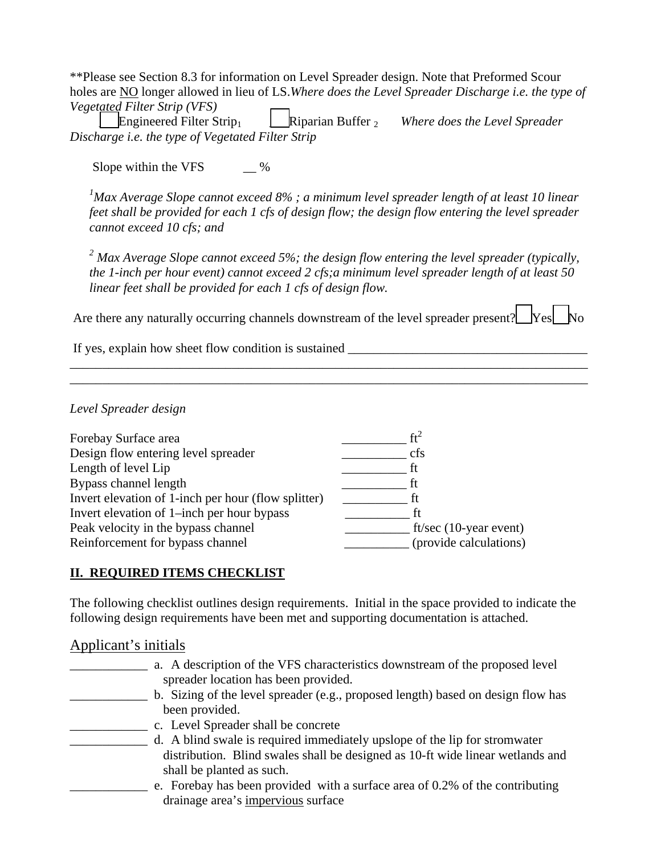\*\*Please see Section 8.3 for information on Level Spreader design. Note that Preformed Scour holes are NO longer allowed in lieu of LS.*Where does the Level Spreader Discharge i.e. the type of Vegetated Filter Strip (VFS)* 

 \_\_\_Engineered Filter Strip1 \_\_\_Riparian Buffer 2 *Where does the Level Spreader Discharge i.e. the type of Vegetated Filter Strip* 

Slope within the VFS  $\%$ 

<sup>1</sup>Max Average Slope cannot exceed 8% ; a minimum level spreader length of at least 10 linear *feet shall be provided for each 1 cfs of design flow; the design flow entering the level spreader cannot exceed 10 cfs; and* 

<sup>2</sup> Max Average Slope cannot exceed 5%; the design flow entering the level spreader (typically, *the 1-inch per hour event) cannot exceed 2 cfs;a minimum level spreader length of at least 50 linear feet shall be provided for each 1 cfs of design flow.* 

Are there any naturally occurring channels downstream of the level spreader present?  $\Box$  Yes  $\Box$  No

\_\_\_\_\_\_\_\_\_\_\_\_\_\_\_\_\_\_\_\_\_\_\_\_\_\_\_\_\_\_\_\_\_\_\_\_\_\_\_\_\_\_\_\_\_\_\_\_\_\_\_\_\_\_\_\_\_\_\_\_\_\_\_\_\_\_\_\_\_\_\_\_\_\_\_\_\_\_\_\_ \_\_\_\_\_\_\_\_\_\_\_\_\_\_\_\_\_\_\_\_\_\_\_\_\_\_\_\_\_\_\_\_\_\_\_\_\_\_\_\_\_\_\_\_\_\_\_\_\_\_\_\_\_\_\_\_\_\_\_\_\_\_\_\_\_\_\_\_\_\_\_\_\_\_\_\_\_\_\_\_

If yes, explain how sheet flow condition is sustained

*Level Spreader design* 

| $ft^2$                    |
|---------------------------|
| cfs                       |
| tt                        |
| tt                        |
|                           |
| ff                        |
| ft/sec $(10$ -year event) |
| (provide calculations)    |
|                           |

#### **II. REQUIRED ITEMS CHECKLIST**

The following checklist outlines design requirements. Initial in the space provided to indicate the following design requirements have been met and supporting documentation is attached.

#### Applicant's initials

| a. A description of the VFS characteristics downstream of the proposed level     |
|----------------------------------------------------------------------------------|
| spreader location has been provided.                                             |
| b. Sizing of the level spreader (e.g., proposed length) based on design flow has |
| been provided.                                                                   |
| c. Level Spreader shall be concrete                                              |
| d. A blind swale is required immediately upslope of the lip for stromwater       |
| distribution. Blind swales shall be designed as 10-ft wide linear wetlands and   |
| shall be planted as such.                                                        |
| e. Forebay has been provided with a surface area of 0.2% of the contributing     |
| drainage area's impervious surface                                               |
|                                                                                  |